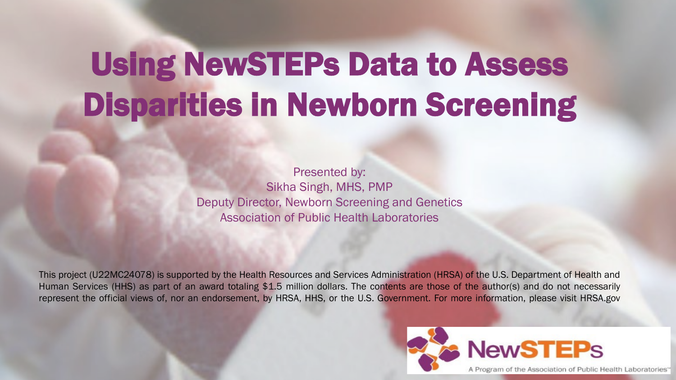## Using NewSTEPs Data to Assess Disparities in Newborn Screening

Presented by: Sikha Singh, MHS, PMP Deputy Director, Newborn Screening and Genetics Association of Public Health Laboratories

This project (U22MC24078) is supported by the Health Resources and Services Administration (HRSA) of the U.S. Department of Health and Human Services (HHS) as part of an award totaling \$1.5 million dollars. The contents are those of the author(s) and do not necessarily represent the official views of, nor an endorsement, by HRSA, HHS, or the U.S. Government. For more information, please visit HRSA.gov

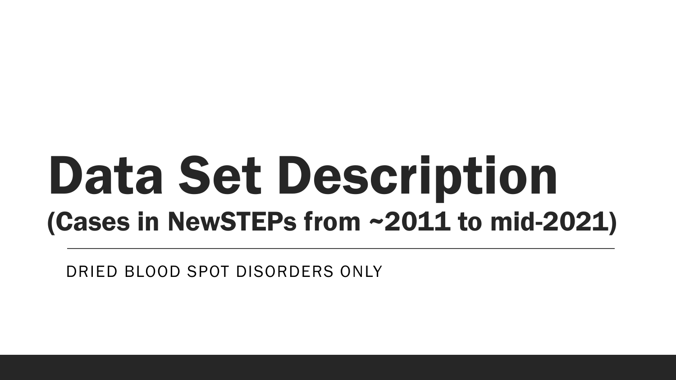## Data Set Description (Cases in NewSTEPs from ~2011 to mid-2021)

DRIED BLOOD SPOT DISORDERS ONLY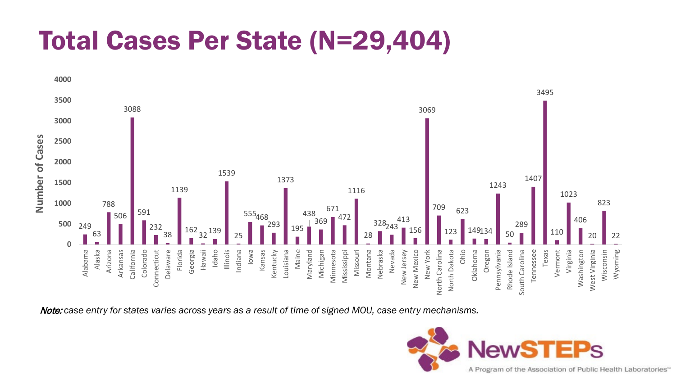#### Total Cases Per State (N=29,404)



Note: *case entry for states varies across years as a result of time of signed MOU, case entry mechanisms.*

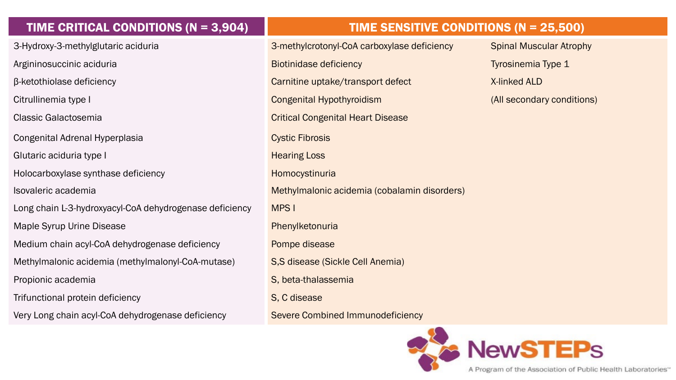Congenital Adrenal Hyperplasia Congenital Adrenal Hyperplasia

Glutaric aciduria type I and the Contract of the Hearing Loss and Hearing Loss

Holocarboxylase synthase deficiency example and the Homocystinuria

Long chain L-3-hydroxyacyl-CoA dehydrogenase deficiency MPS I

Maple Syrup Urine Disease **Phenylketonuria** Phenylketonuria

Medium chain acyl-CoA dehydrogenase deficiency **Pompe disease** 

Methylmalonic acidemia (methylmalonyl-CoA-mutase) S,S disease (Sickle Cell Anemia)

Propionic academia National S, beta-thalassemia

Trifunctional protein deficiency North Contract Contract Contract Contract Contract Contract Contract Contract Contract Contract Contract Contract Contract Contract Contract Contract Contract Contract Contract Contract Con

Very Long chain acyl-CoA dehydrogenase deficiency Severe Combined Immunodeficiency

#### TIME CRITICAL CONDITIONS (N = 3,904) TIME SENSITIVE CONDITIONS (N = 25,500)

3-Hydroxy-3-methylglutaric aciduria 3-methylcrotonyl-CoA carboxylase deficiency Spinal Muscular Atrophy Argininosuccinic aciduria **Biotinidase deficiency Containing the Containing Type 1** Argininosuccinic aciduria Type 1 β-ketothiolase deficiency Carnitine uptake/transport defect X-linked ALD Citrullinemia type I Congenital Hypothyroidism Content Conference (All secondary conditions) Classic Galactosemia Critical Congenital Heart Disease Isovaleric academia **Methylmalonic acidemia (cobalamin disorders) Methylmalonic acidemia (cobalamin disorders)** 

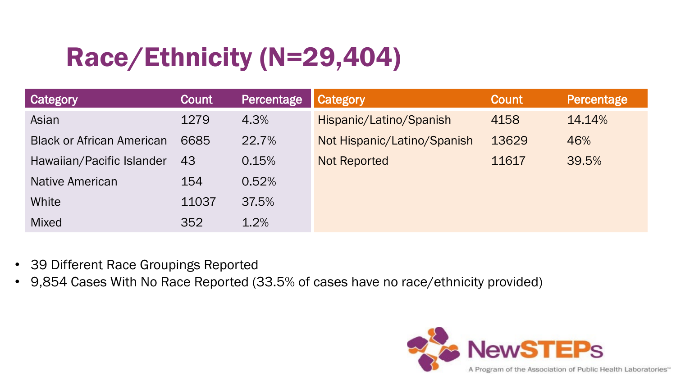### Race/Ethnicity (N=29,404)

| <b>Category</b>                  | Count | Percentage | Category                    | Count | Percentage |
|----------------------------------|-------|------------|-----------------------------|-------|------------|
| Asian                            | 1279  | 4.3%       | Hispanic/Latino/Spanish     | 4158  | 14.14%     |
| <b>Black or African American</b> | 6685  | 22.7%      | Not Hispanic/Latino/Spanish | 13629 | 46%        |
| Hawaiian/Pacific Islander        | 43    | 0.15%      | <b>Not Reported</b>         | 11617 | 39.5%      |
| Native American                  | 154   | 0.52%      |                             |       |            |
| White                            | 11037 | 37.5%      |                             |       |            |
| <b>Mixed</b>                     | 352   | 1.2%       |                             |       |            |

- 39 Different Race Groupings Reported
- 9,854 Cases With No Race Reported (33.5% of cases have no race/ethnicity provided)

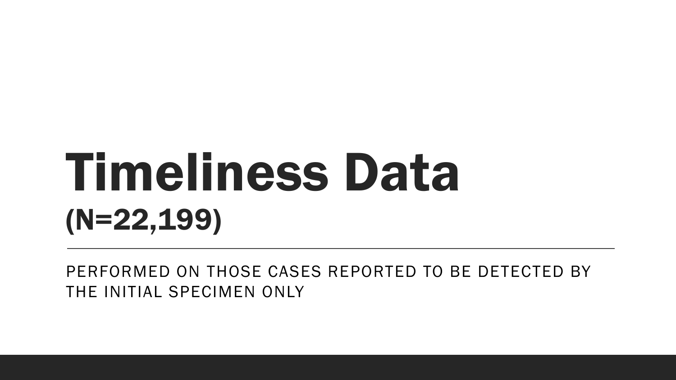# Timeliness Data (N=22,199)

PERFORMED ON THOSE CASES REPORTED TO BE DETECTED BY THE INITIAL SPECIMEN ONLY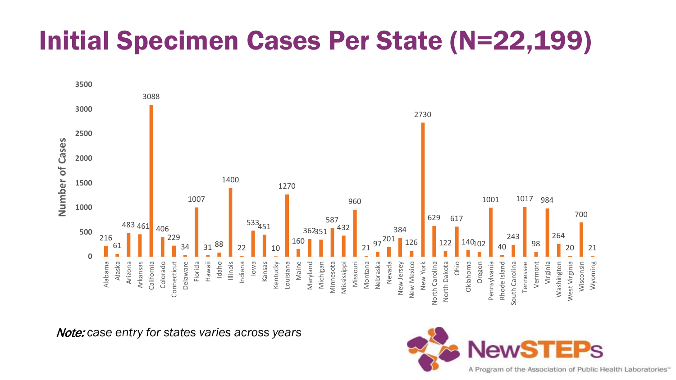#### Initial Specimen Cases Per State (N=22,199)



Note: *case entry for states varies across years*

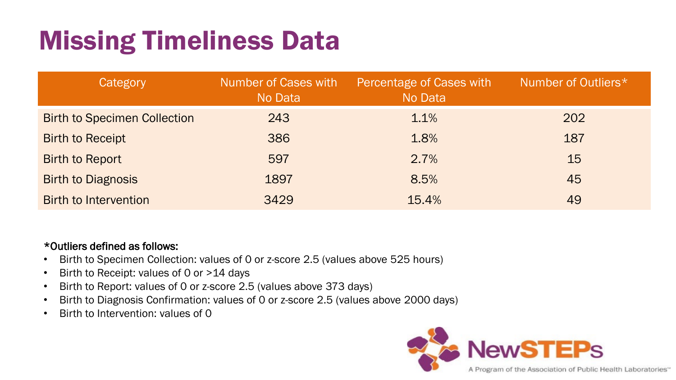### Missing Timeliness Data

| Category                            | Number of Cases with<br>No Data | Percentage of Cases with<br>No Data | Number of Outliers* |
|-------------------------------------|---------------------------------|-------------------------------------|---------------------|
| <b>Birth to Specimen Collection</b> | 243                             | 1.1%                                | 202                 |
| <b>Birth to Receipt</b>             | 386                             | 1.8%                                | 187                 |
| <b>Birth to Report</b>              | 597                             | 2.7%                                | 15                  |
| <b>Birth to Diagnosis</b>           | 1897                            | 8.5%                                | 45                  |
| <b>Birth to Intervention</b>        | 3429                            | 15.4%                               | 49                  |

#### \*Outliers defined as follows:

- Birth to Specimen Collection: values of 0 or z-score 2.5 (values above 525 hours)
- Birth to Receipt: values of 0 or >14 days
- Birth to Report: values of 0 or z-score 2.5 (values above 373 days)
- Birth to Diagnosis Confirmation: values of 0 or z-score 2.5 (values above 2000 days)
- Birth to Intervention: values of 0

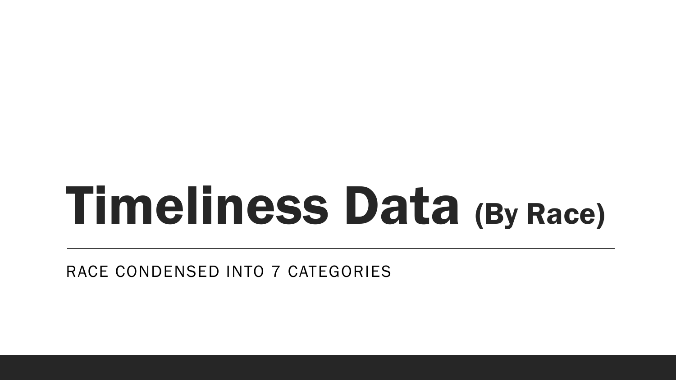# Timeliness Data (By Race)

RACE CONDENSED INTO 7 CATEGORIES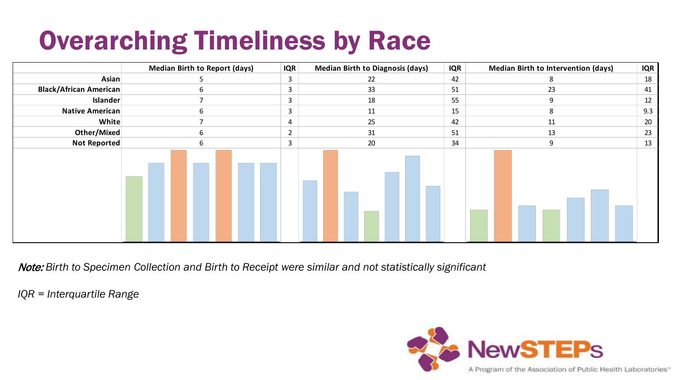### Overarching Timeliness by Race

|                               | <b>Median Birth to Report (days)</b> | IQR            | <b>Median Birth to Diagnosis (days)</b> | <b>IQR</b> | <b>Median Birth to Intervention (days)</b> | <b>IQR</b> |
|-------------------------------|--------------------------------------|----------------|-----------------------------------------|------------|--------------------------------------------|------------|
| Asian                         |                                      | 3              | 22                                      | 42         |                                            | 18         |
| <b>Black/African American</b> |                                      | $\mathbf{3}$   | 33                                      | 51         | 23                                         | 41         |
| <b>Islander</b>               |                                      | $\mathbf{3}$   | 18                                      | 55         | q                                          | 12         |
| Native American               |                                      | $\mathbf{3}$   | 11                                      | 15         |                                            | 9.3        |
| White                         |                                      | 4              | 25                                      | 42         | 11                                         | 20         |
| Other/Mixed                   |                                      | $\overline{2}$ | 31                                      | 51         | 13                                         | 23         |
| Not Reported                  |                                      | $\mathbf{3}$   | 20                                      | 34         | 9                                          | 13         |
|                               |                                      |                |                                         |            |                                            |            |

Note: *Birth to Specimen Collection and Birth to Receipt were similar and not statistically significant*

*IQR = Interquartile Range*

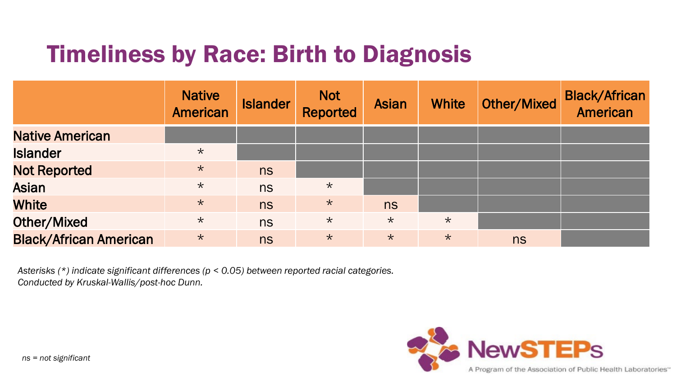#### Timeliness by Race: Birth to Diagnosis

|                               | <b>Native</b><br><b>American</b> | <b>Islander</b> | Not<br>Reported | <b>Asian</b> | <b>White</b> | Other/Mixed | <b>Black/African</b><br><b>American</b> |
|-------------------------------|----------------------------------|-----------------|-----------------|--------------|--------------|-------------|-----------------------------------------|
| <b>Native American</b>        |                                  |                 |                 |              |              |             |                                         |
| <b>Islander</b>               | $\star$                          |                 |                 |              |              |             |                                         |
| <b>Not Reported</b>           | $\star$                          | ns              |                 |              |              |             |                                         |
| <b>Asian</b>                  | $\star$                          | ns              | $\star$         |              |              |             |                                         |
| <b>White</b>                  | $\star$                          | <b>ns</b>       | $\star$         | ns           |              |             |                                         |
| <b>Other/Mixed</b>            | $\star$                          | ns              | $\star$         | $\star$      | $\star$      |             |                                         |
| <b>Black/African American</b> | $\star$                          | ns              | $\star$         | $\star$      | $\star$      | ns          |                                         |

*Asterisks (\*) indicate significant differences (p < 0.05) between reported racial categories. Conducted by Kruskal-Wallis/post-hoc Dunn.*

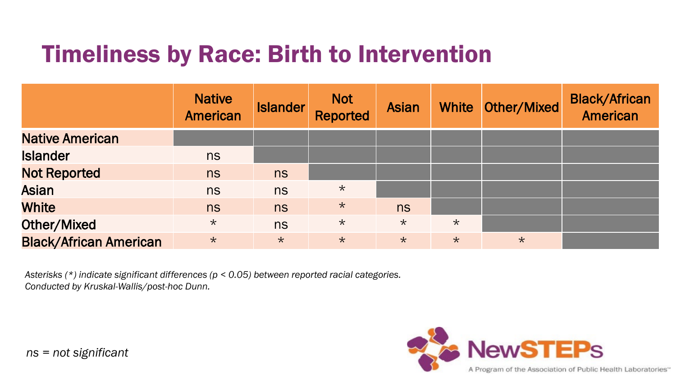#### Timeliness by Race: Birth to Intervention

|                               | <b>Native</b><br><b>American</b> | <b>Islander</b> | <b>Not</b><br><b>Reported</b> | <b>Asian</b> | <b>White</b> | Other/Mixed | <b>Black/African</b><br><b>American</b> |
|-------------------------------|----------------------------------|-----------------|-------------------------------|--------------|--------------|-------------|-----------------------------------------|
| <b>Native American</b>        |                                  |                 |                               |              |              |             |                                         |
| <b>Islander</b>               | ns                               |                 |                               |              |              |             |                                         |
| <b>Not Reported</b>           | ns                               | ns              |                               |              |              |             |                                         |
| <b>Asian</b>                  | ns                               | ns              | $\star$                       |              |              |             |                                         |
| <b>White</b>                  | ns                               | <b>ns</b>       | $\star$                       | ns           |              |             |                                         |
| <b>Other/Mixed</b>            | $\star$                          | ns              | $\star$                       | $\star$      | $\star$      |             |                                         |
| <b>Black/African American</b> | $\star$                          | $\star$         | $\star$                       | $\star$      | $\star$      | $\star$     |                                         |

*Asterisks (\*) indicate significant differences (p < 0.05) between reported racial categories. Conducted by Kruskal-Wallis/post-hoc Dunn.*

*ns = not significant*

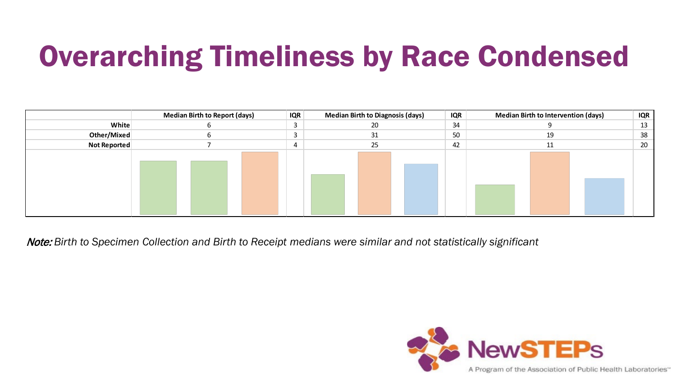## Overarching Timeliness by Race Condensed

|              | <b>Median Birth to Report (days)</b> | <b>IQR</b> | <b>Median Birth to Diagnosis (days)</b> | <b>IQR</b> | <b>Median Birth to Intervention (days)</b> | IQR |
|--------------|--------------------------------------|------------|-----------------------------------------|------------|--------------------------------------------|-----|
| White        |                                      | 3          | 20                                      | 34         |                                            | 13  |
| Other/Mixed  |                                      | 3          | 31                                      | 50         | 19                                         | 38  |
| Not Reported |                                      | 4          | 25                                      | 42         |                                            | 20  |
|              |                                      |            |                                         |            |                                            |     |

Note: *Birth to Specimen Collection and Birth to Receipt medians were similar and not statistically significant*

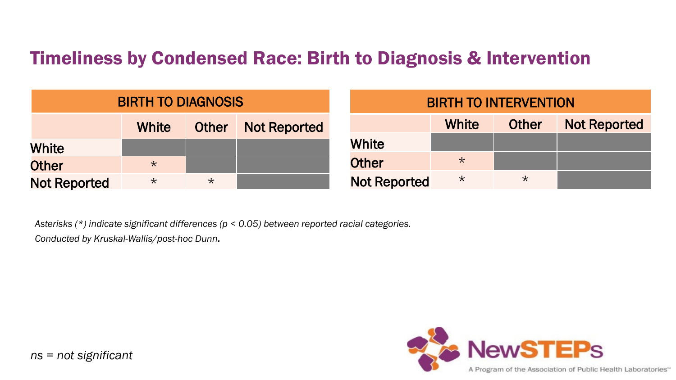#### Timeliness by Condensed Race: Birth to Diagnosis & Intervention

|                     | <b>BIRTH TO DIAGNOSIS</b>                    |  |  |  |  |  |  |  |  |  |
|---------------------|----------------------------------------------|--|--|--|--|--|--|--|--|--|
|                     | <b>Not Reported</b><br>White<br><b>Other</b> |  |  |  |  |  |  |  |  |  |
| White               |                                              |  |  |  |  |  |  |  |  |  |
| <b>Other</b>        | $\star$                                      |  |  |  |  |  |  |  |  |  |
| <b>Not Reported</b> |                                              |  |  |  |  |  |  |  |  |  |

| <b>BIRTH TO INTERVENTION</b> |         |              |                     |  |  |  |  |  |
|------------------------------|---------|--------------|---------------------|--|--|--|--|--|
|                              | White   | <b>Other</b> | <b>Not Reported</b> |  |  |  |  |  |
| <b>White</b>                 |         |              |                     |  |  |  |  |  |
| <b>Other</b>                 | $\star$ |              |                     |  |  |  |  |  |
| <b>Not Reported</b>          | $\star$ | $\star$      |                     |  |  |  |  |  |

*Asterisks (\*) indicate significant differences (p < 0.05) between reported racial categories. Conducted by Kruskal-Wallis/post-hoc Dunn.*

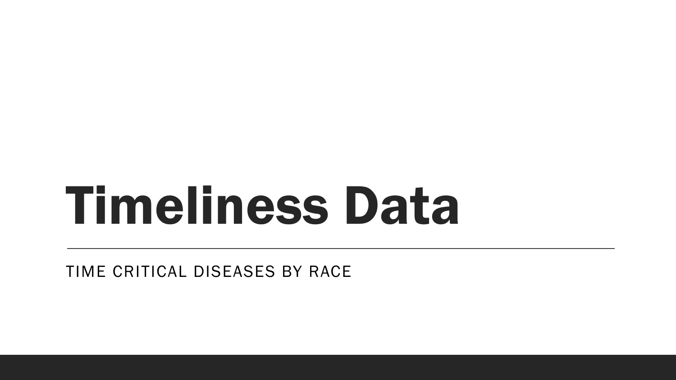# Timeliness Data

TIME CRITICAL DISEASES BY RACE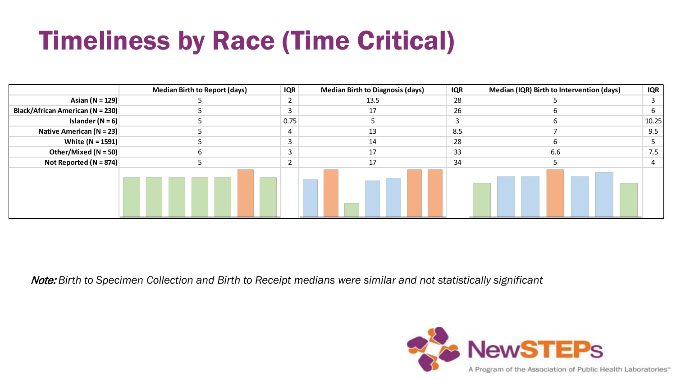### Timeliness by Race (Time Critical)

|                                  | <b>Median Birth to Report (days)</b> | <b>IQR</b>     | <b>Median Birth to Diagnosis (days)</b> | <b>IQR</b> | Median (IQR) Birth to Intervention (days) | <b>IQR</b> |
|----------------------------------|--------------------------------------|----------------|-----------------------------------------|------------|-------------------------------------------|------------|
| Asian (N = 129)                  |                                      | $\epsilon$     | 13.5                                    | 28         |                                           |            |
| Black/African American (N = 230) |                                      | 3              |                                         | 26         |                                           |            |
| Islander (N = 6)                 |                                      | 0.75           |                                         |            |                                           | 10.25      |
| Native American (N = 23)         |                                      | 4              |                                         | 8.5        |                                           | 9.5        |
| White $(N = 1591)$               |                                      | 3              | 14                                      | 28         |                                           |            |
| Other/Mixed (N = 50)             |                                      | 3              |                                         | 33         | 6.6                                       | 7.5        |
| Not Reported (N = 874)           |                                      | $\overline{2}$ |                                         |            |                                           |            |
|                                  |                                      |                |                                         |            |                                           |            |

Note: *Birth to Specimen Collection and Birth to Receipt medians were similar and not statistically significant*

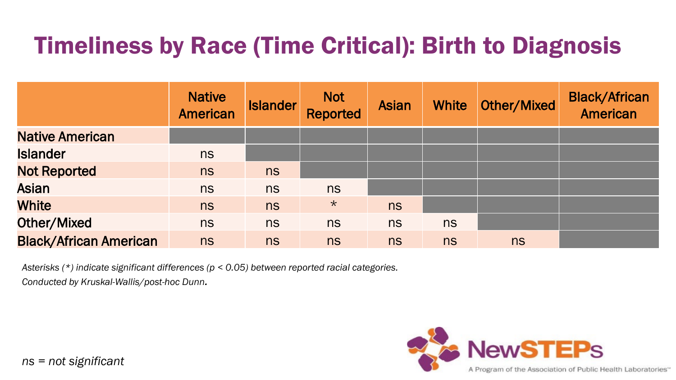#### Timeliness by Race (Time Critical): Birth to Diagnosis

|                               | <b>Native</b><br><b>American</b> | <b>Islander</b> | <b>Not</b><br><b>Reported</b> | <b>Asian</b> | <b>White</b> | <b>Other/Mixed</b> | <b>Black/African</b><br><b>American</b> |
|-------------------------------|----------------------------------|-----------------|-------------------------------|--------------|--------------|--------------------|-----------------------------------------|
| <b>Native American</b>        |                                  |                 |                               |              |              |                    |                                         |
| <b>Islander</b>               | ns                               |                 |                               |              |              |                    |                                         |
| <b>Not Reported</b>           | ns                               | ns              |                               |              |              |                    |                                         |
| <b>Asian</b>                  | ns                               | ns              | ns                            |              |              |                    |                                         |
| <b>White</b>                  | ns                               | ns              | $\star$                       | ns           |              |                    |                                         |
| <b>Other/Mixed</b>            | ns                               | ns              | ns                            | ns           | ns           |                    |                                         |
| <b>Black/African American</b> | ns                               | ns              | ns                            | ns           | ns           | ns                 |                                         |

*Asterisks (\*) indicate significant differences (p < 0.05) between reported racial categories.* 

*Conducted by Kruskal-Wallis/post-hoc Dunn.*

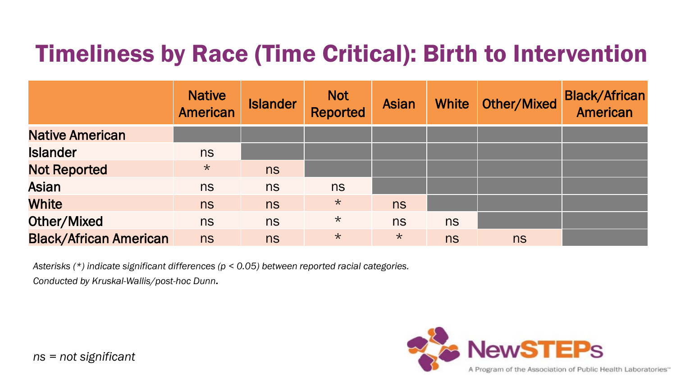#### Timeliness by Race (Time Critical): Birth to Intervention

|                               | <b>Native</b><br><b>American</b> | <b>Islander</b> | <b>Not</b><br><b>Reported</b> | <b>Asian</b> | <b>White</b> | <b>Other/Mixed</b> | <b>Black/African</b><br><b>American</b> |
|-------------------------------|----------------------------------|-----------------|-------------------------------|--------------|--------------|--------------------|-----------------------------------------|
| <b>Native American</b>        |                                  |                 |                               |              |              |                    |                                         |
| <b>Islander</b>               | ns                               |                 |                               |              |              |                    |                                         |
| <b>Not Reported</b>           | $\star$                          | ns              |                               |              |              |                    |                                         |
| <b>Asian</b>                  | ns                               | ns              | ns                            |              |              |                    |                                         |
| <b>White</b>                  | <b>ns</b>                        | <b>ns</b>       | $\star$                       | ns           |              |                    |                                         |
| Other/Mixed                   | ns                               | ns              | $\star$                       | ns           | ns           |                    |                                         |
| <b>Black/African American</b> | ns                               | ns              | $\star$                       | $\star$      | ns           | ns                 |                                         |

*Asterisks (\*) indicate significant differences (p < 0.05) between reported racial categories.* 

*Conducted by Kruskal-Wallis/post-hoc Dunn.*

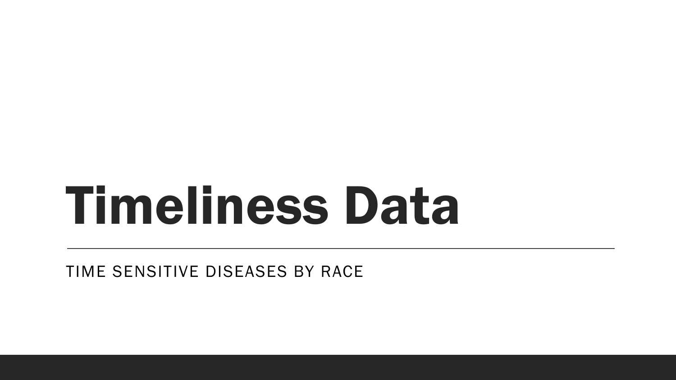# Timeliness Data

TIME SENSITIVE DISEASES BY RACE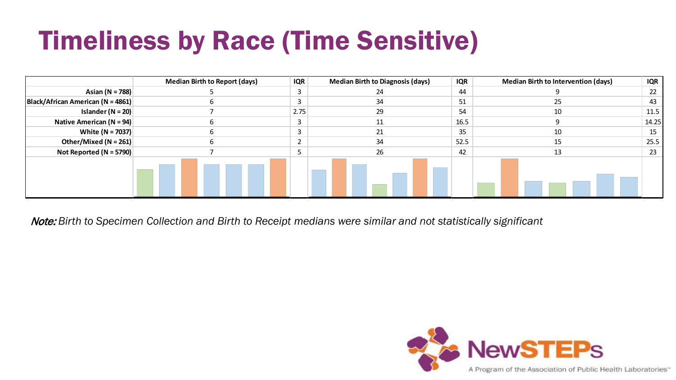### Timeliness by Race (Time Sensitive)

|                                   | <b>Median Birth to Report (days)</b> | <b>IQR</b> | <b>Median Birth to Diagnosis (days)</b> | IQR  | <b>Median Birth to Intervention (days)</b> | IQR   |
|-----------------------------------|--------------------------------------|------------|-----------------------------------------|------|--------------------------------------------|-------|
| Asian (N = 788)                   |                                      | э          | 24                                      | 44   |                                            | 22    |
| Black/African American (N = 4861) |                                      | 3          | 34                                      | 51   |                                            | 43    |
| Islander (N = 20)                 |                                      | 2.75       | 29                                      | 54   | 10                                         | 11.5  |
| Native American (N = 94)          |                                      |            |                                         | 16.5 |                                            | 14.25 |
| White (N = 7037)                  |                                      |            |                                         |      | 10                                         | 15    |
| Other/Mixed (N = 261)             |                                      |            | 34                                      | 52.5 |                                            | 25.5  |
| Not Reported (N = 5790)           |                                      |            | 26                                      | 42   |                                            | 23    |
|                                   |                                      |            |                                         |      |                                            |       |

Note: *Birth to Specimen Collection and Birth to Receipt medians were similar and not statistically significant*

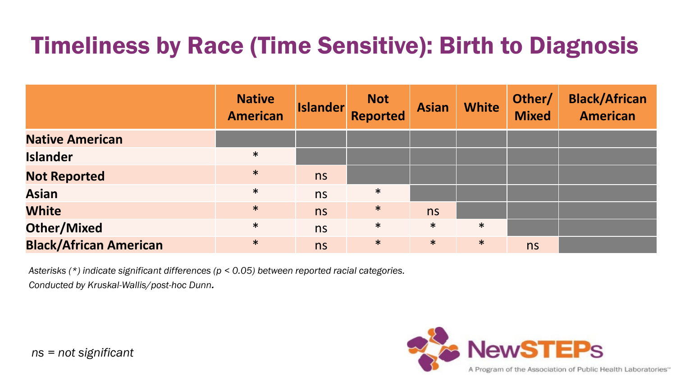#### Timeliness by Race (Time Sensitive): Birth to Diagnosis

|                               | <b>Native</b><br><b>American</b> | <b>Islander</b> | <b>Not</b><br>Reported | <b>Asian</b> | <b>White</b> | Other/<br><b>Mixed</b> | <b>Black/African</b><br><b>American</b> |
|-------------------------------|----------------------------------|-----------------|------------------------|--------------|--------------|------------------------|-----------------------------------------|
| <b>Native American</b>        |                                  |                 |                        |              |              |                        |                                         |
| <b>Islander</b>               | $\ast$                           |                 |                        |              |              |                        |                                         |
| <b>Not Reported</b>           | $\ast$                           | ns              |                        |              |              |                        |                                         |
| <b>Asian</b>                  | $\ast$                           | ns              | $\ast$                 |              |              |                        |                                         |
| <b>White</b>                  | $\ast$                           | ns              | $\ast$                 | ns           |              |                        |                                         |
| <b>Other/Mixed</b>            | $\ast$                           | ns              | $\ast$                 | $\ast$       | $\ast$       |                        |                                         |
| <b>Black/African American</b> | $\ast$                           | ns              | $\ast$                 | $\ast$       | $\ast$       | ns                     |                                         |

*Asterisks (\*) indicate significant differences (p < 0.05) between reported racial categories.* 

*Conducted by Kruskal-Wallis/post-hoc Dunn.*

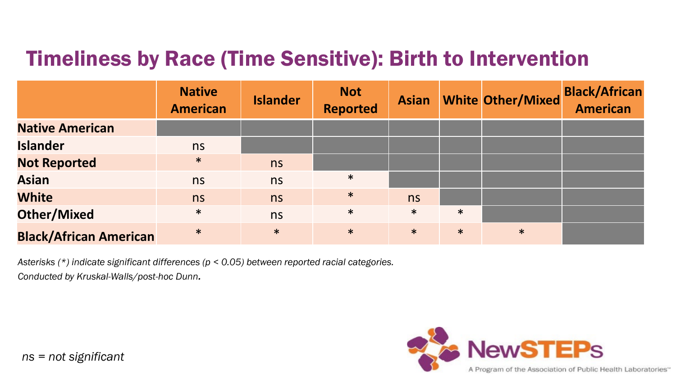#### Timeliness by Race (Time Sensitive): Birth to Intervention

|                               | <b>Native</b><br><b>American</b> | <b>Islander</b> | <b>Not</b><br><b>Reported</b> | <b>Asian</b> |        |        | White Other/Mixed Black/African<br><b>American</b> |
|-------------------------------|----------------------------------|-----------------|-------------------------------|--------------|--------|--------|----------------------------------------------------|
| <b>Native American</b>        |                                  |                 |                               |              |        |        |                                                    |
| <b>Islander</b>               | ns                               |                 |                               |              |        |        |                                                    |
| <b>Not Reported</b>           | $\ast$                           | ns              |                               |              |        |        |                                                    |
| <b>Asian</b>                  | ns                               | ns              | $\ast$                        |              |        |        |                                                    |
| <b>White</b>                  | ns                               | ns              | $\ast$                        | ns           |        |        |                                                    |
| <b>Other/Mixed</b>            | $\ast$                           | ns              | $\ast$                        | $\ast$       | $\ast$ |        |                                                    |
| <b>Black/African American</b> | $\ast$                           | $\ast$          | $\ast$                        | $\ast$       | $\ast$ | $\ast$ |                                                    |

*Asterisks (\*) indicate significant differences (p < 0.05) between reported racial categories. Conducted by Kruskal-Walls/post-hoc Dunn.*

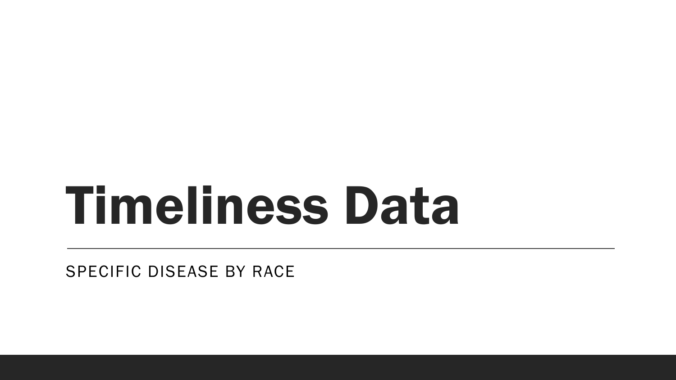# Timeliness Data

SPECIFIC DISEASE BY RACE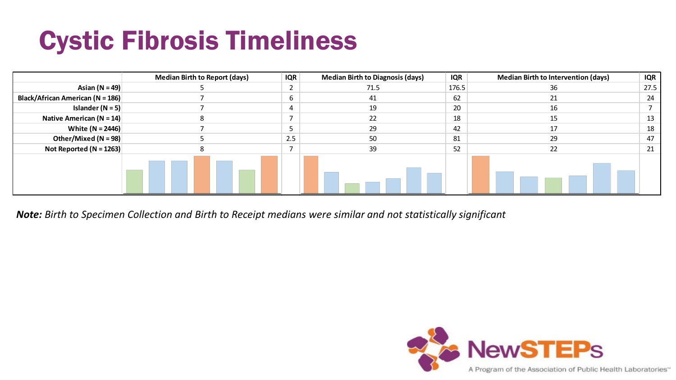#### Cystic Fibrosis Timeliness

|                                  | <b>Median Birth to Report (days)</b> | <b>IQR</b>               | <b>Median Birth to Diagnosis (days)</b> | <b>IQR</b> | <b>Median Birth to Intervention (days)</b> | <b>IQR</b> |
|----------------------------------|--------------------------------------|--------------------------|-----------------------------------------|------------|--------------------------------------------|------------|
| Asian (N = 49)                   |                                      | $\epsilon$               | 71.5                                    | 176.5      | 36                                         | 27.5       |
| Black/African American (N = 186) |                                      | 6                        | 41                                      | 62         |                                            | 24         |
| Islander ( $N = 5$ )             |                                      | 4                        | 19                                      | 20         | 16                                         |            |
| Native American ( $N = 14$ )     |                                      | $\overline{\phantom{a}}$ | 22                                      | 18         | 15                                         | 13         |
| White $(N = 2446)$               |                                      |                          | 29                                      | 42         | 17                                         | 18         |
| Other/Mixed (N = 98)             |                                      | 2.5                      | 50                                      | 81         | 29                                         | 47         |
| Not Reported (N = 1263)          |                                      | $\overline{7}$           | 39                                      | 52         | 22                                         | 21         |
|                                  |                                      |                          |                                         |            |                                            |            |

*Note: Birth to Specimen Collection and Birth to Receipt medians were similar and not statistically significant*

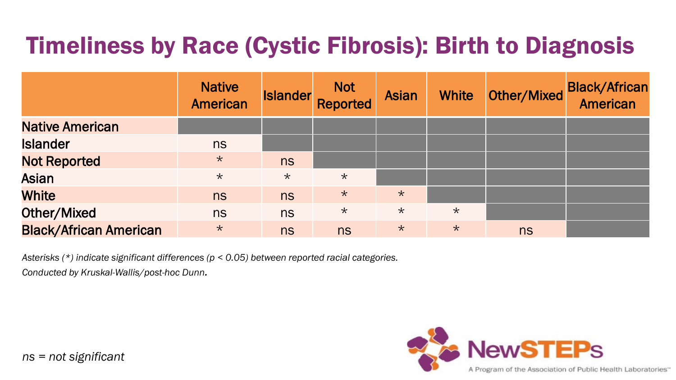#### Timeliness by Race (Cystic Fibrosis): Birth to Diagnosis

|                               | <b>Native</b><br><b>American</b> | <b>Islander</b> | <b>Not</b><br>Reported | <b>Asian</b> | <b>White</b> |    | Other/Mixed Black/African |
|-------------------------------|----------------------------------|-----------------|------------------------|--------------|--------------|----|---------------------------|
| <b>Native American</b>        |                                  |                 |                        |              |              |    |                           |
| <b>Islander</b>               | <b>ns</b>                        |                 |                        |              |              |    |                           |
| <b>Not Reported</b>           | $\star$                          | <b>ns</b>       |                        |              |              |    |                           |
| <b>Asian</b>                  | $\star$                          | $\star$         | $\star$                |              |              |    |                           |
| <b>White</b>                  | ns                               | <b>ns</b>       | $\star$                | $\star$      |              |    |                           |
| <b>Other/Mixed</b>            | ns                               | <b>ns</b>       | $\star$                | $\star$      | $\star$      |    |                           |
| <b>Black/African American</b> | $\star$                          | ns              | ns                     | $\star$      | $\star$      | ns |                           |

*Asterisks (\*) indicate significant differences (p < 0.05) between reported racial categories.* 

*Conducted by Kruskal-Wallis/post-hoc Dunn.*

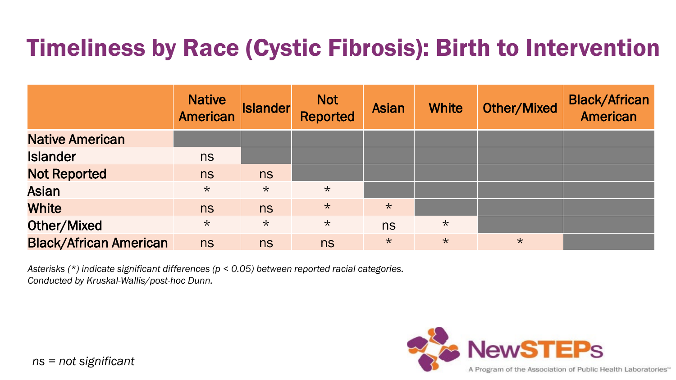#### Timeliness by Race (Cystic Fibrosis): Birth to Intervention

|                               | <b>Native</b><br><b>American</b> | <b>Islander</b> | <b>Not</b><br>Reported | <b>Asian</b> | <b>White</b> | <b>Other/Mixed</b> | <b>Black/African</b><br><b>American</b> |
|-------------------------------|----------------------------------|-----------------|------------------------|--------------|--------------|--------------------|-----------------------------------------|
| <b>Native American</b>        |                                  |                 |                        |              |              |                    |                                         |
| <b>Islander</b>               | ns                               |                 |                        |              |              |                    |                                         |
| <b>Not Reported</b>           | <b>ns</b>                        | ns              |                        |              |              |                    |                                         |
| <b>Asian</b>                  | $\star$                          | $\star$         | $\star$                |              |              |                    |                                         |
| <b>White</b>                  | ns                               | ns              | $\star$                | $\star$      |              |                    |                                         |
| <b>Other/Mixed</b>            | $\star$                          | $\star$         | $\star$                | ns           | $\star$      |                    |                                         |
| <b>Black/African American</b> | ns                               | ns              | ns                     | $\star$      | $\star$      | $\star$            |                                         |

*Asterisks (\*) indicate significant differences (p < 0.05) between reported racial categories. Conducted by Kruskal-Wallis/post-hoc Dunn.*

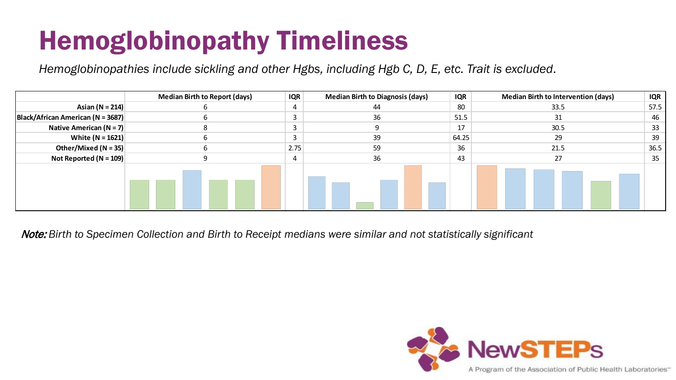### Hemoglobinopathy Timeliness

*Hemoglobinopathies include sickling and other Hgbs, including Hgb C, D, E, etc. Trait is excluded*.

|                                   | <b>Median Birth to Report (days)</b> | IQR | <b>Median Birth to Diagnosis (days)</b> | <b>IQR</b> | <b>Median Birth to Intervention (days)</b> | IQR |
|-----------------------------------|--------------------------------------|-----|-----------------------------------------|------------|--------------------------------------------|-----|
| Asian (N = 214)                   |                                      |     | 44                                      | 80         | 33.5                                       |     |
| Black/African American (N = 3687) |                                      |     | 36                                      | 51.5       | 31                                         | 46  |
| Native American (N = 7)           |                                      |     |                                         | 17         | 30.5                                       |     |
| White $(N = 1621)$                |                                      |     | 39                                      |            | 64.25<br>29                                | 39  |
| Other/Mixed (N = 35)              | 2.75                                 |     | 59                                      | 36         | 21.5                                       |     |
| Not Reported (N = 109)            |                                      |     | 36                                      | 43         | 27                                         | 35  |
|                                   |                                      |     |                                         |            |                                            |     |

Note: *Birth to Specimen Collection and Birth to Receipt medians were similar and not statistically significant*

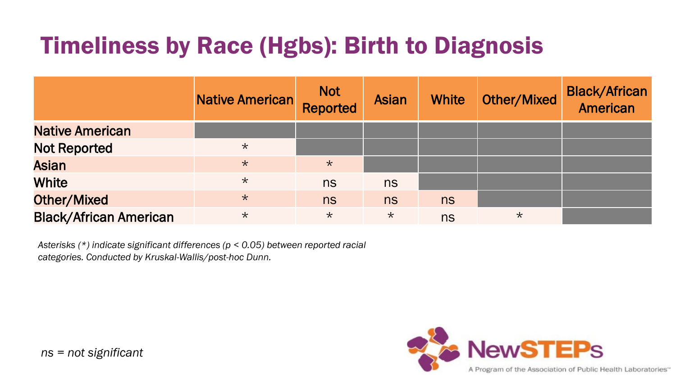#### Timeliness by Race (Hgbs): Birth to Diagnosis

|                               | Native American | Not<br>Reported | <b>Asian</b> | <b>White</b> | <b>Other/Mixed</b> | <b>Black/African</b><br><b>American</b> |
|-------------------------------|-----------------|-----------------|--------------|--------------|--------------------|-----------------------------------------|
| <b>Native American</b>        |                 |                 |              |              |                    |                                         |
| <b>Not Reported</b>           | $\star$         |                 |              |              |                    |                                         |
| <b>Asian</b>                  | $\star$         | $\star$         |              |              |                    |                                         |
| White                         | $\star$         | ns              | ns           |              |                    |                                         |
| <b>Other/Mixed</b>            | $\star$         | ns              | ns           | ns           |                    |                                         |
| <b>Black/African American</b> | $\star$         | $\star$         | $\star$      | ns           | $\star$            |                                         |

*Asterisks (\*) indicate significant differences (p < 0.05) between reported racial categories. Conducted by Kruskal-Wallis/post-hoc Dunn.*

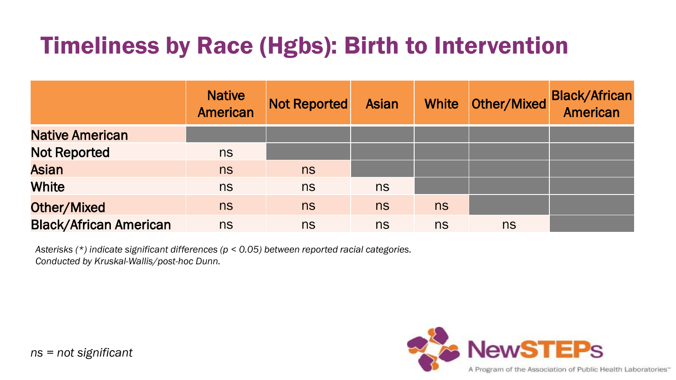#### Timeliness by Race (Hgbs): Birth to Intervention

|                               | <b>Native</b><br><b>American</b> | Not Reported | <b>Asian</b> | <b>White</b> | Other/Mixed | <b>Black/African</b><br><b>American</b> |
|-------------------------------|----------------------------------|--------------|--------------|--------------|-------------|-----------------------------------------|
| <b>Native American</b>        |                                  |              |              |              |             |                                         |
| <b>Not Reported</b>           | ns                               |              |              |              |             |                                         |
| <b>Asian</b>                  | <b>ns</b>                        | ns           |              |              |             |                                         |
| <b>White</b>                  | ns                               | ns           | ns           |              |             |                                         |
| <b>Other/Mixed</b>            | ns                               | ns           | ns           | ns           |             |                                         |
| <b>Black/African American</b> | ns                               | ns           | ns           | ns           | ns          |                                         |

*Asterisks (\*) indicate significant differences (p < 0.05) between reported racial categories. Conducted by Kruskal-Wallis/post-hoc Dunn.*

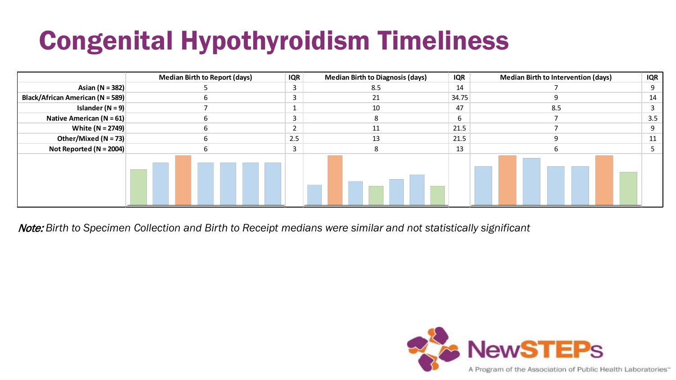### Congenital Hypothyroidism Timeliness

|                                  | <b>Median Birth to Report (days)</b> | <b>IQR</b>     | <b>Median Birth to Diagnosis (days)</b> | <b>IQR</b>   | <b>Median Birth to Intervention (days)</b> | <b>IQR</b> |
|----------------------------------|--------------------------------------|----------------|-----------------------------------------|--------------|--------------------------------------------|------------|
| Asian (N = 382)                  |                                      |                | 8.5                                     | 14           |                                            |            |
| Black/African American (N = 589) |                                      |                |                                         | 34.75        |                                            | 14         |
| Islander (N = 9)                 |                                      |                | 10                                      | 47           | 8.5                                        |            |
| Native American ( $N = 61$ )     |                                      | 3              |                                         | <sub>b</sub> |                                            | 3.5        |
| White $(N = 2749)$               |                                      | $\overline{2}$ |                                         |              | 21.5                                       |            |
| Other/Mixed (N = 73)             |                                      | 2.5            |                                         | 21.5         |                                            |            |
| Not Reported (N = 2004)          |                                      | 3              |                                         |              |                                            |            |
|                                  |                                      |                |                                         |              |                                            |            |

Note: *Birth to Specimen Collection and Birth to Receipt medians were similar and not statistically significant*

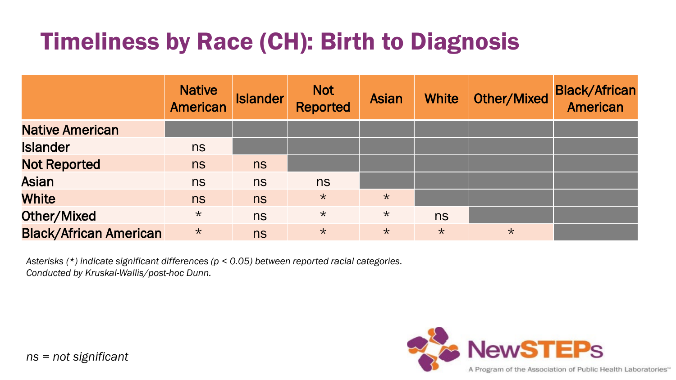#### Timeliness by Race (CH): Birth to Diagnosis

|                               | <b>Native</b><br><b>American</b> | <b>Islander</b> | <b>Not</b><br><b>Reported</b> | <b>Asian</b> | <b>White</b> | <b>Other/Mixed</b> | <b>Black/African</b><br><b>American</b> |
|-------------------------------|----------------------------------|-----------------|-------------------------------|--------------|--------------|--------------------|-----------------------------------------|
| <b>Native American</b>        |                                  |                 |                               |              |              |                    |                                         |
| <b>Islander</b>               | ns                               |                 |                               |              |              |                    |                                         |
| <b>Not Reported</b>           | <b>ns</b>                        | ns              |                               |              |              |                    |                                         |
| <b>Asian</b>                  | ns                               | ns              | ns                            |              |              |                    |                                         |
| <b>White</b>                  | <b>ns</b>                        | <b>ns</b>       | $\star$                       | $\star$      |              |                    |                                         |
| Other/Mixed                   | $\star$                          | ns              | $\star$                       | $\star$      | ns           |                    |                                         |
| <b>Black/African American</b> | $\star$                          | ns              | $\star$                       | $\star$      | $\star$      | $\star$            |                                         |

*Asterisks (\*) indicate significant differences (p < 0.05) between reported racial categories. Conducted by Kruskal-Wallis/post-hoc Dunn.*

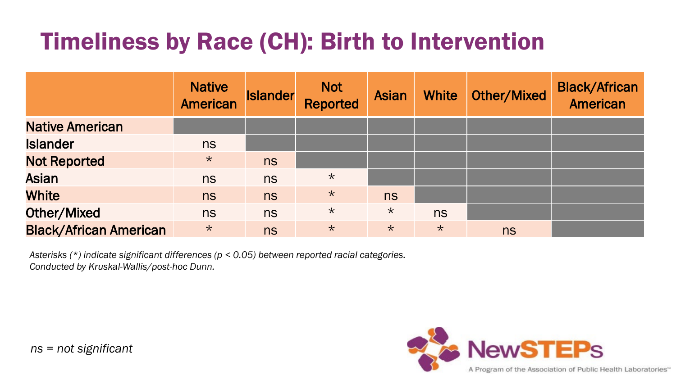#### Timeliness by Race (CH): Birth to Intervention

|                               | <b>Native</b><br><b>American</b> | <b>Islander</b> | <b>Not</b><br>Reported | <b>Asian</b> | <b>White</b> | <b>Other/Mixed</b> | <b>Black/African</b><br><b>American</b> |
|-------------------------------|----------------------------------|-----------------|------------------------|--------------|--------------|--------------------|-----------------------------------------|
| <b>Native American</b>        |                                  |                 |                        |              |              |                    |                                         |
| <b>Islander</b>               | ns                               |                 |                        |              |              |                    |                                         |
| <b>Not Reported</b>           | $\star$                          | ns              |                        |              |              |                    |                                         |
| <b>Asian</b>                  | ns                               | ns              | $\star$                |              |              |                    |                                         |
| <b>White</b>                  | ns                               | ns              | $\star$                | ns           |              |                    |                                         |
| <b>Other/Mixed</b>            | ns                               | ns              | $\star$                | $\star$      | ns           |                    |                                         |
| <b>Black/African American</b> | $\star$                          | ns              | $\star$                | $\star$      | $\star$      | ns                 |                                         |

*Asterisks (\*) indicate significant differences (p < 0.05) between reported racial categories. Conducted by Kruskal-Wallis/post-hoc Dunn.*

*ns = not significant*

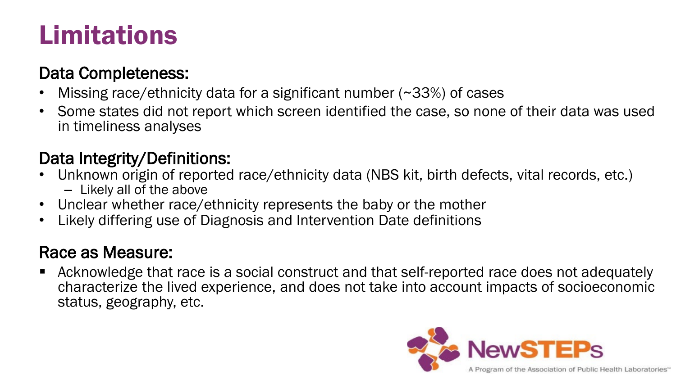### Limitations

#### Data Completeness:

- Missing race/ethnicity data for a significant number (~33%) of cases
- Some states did not report which screen identified the case, so none of their data was used in timeliness analyses

#### Data Integrity/Definitions:

- Unknown origin of reported race/ethnicity data (NBS kit, birth defects, vital records, etc.)<br>- Likely all of the above
- Unclear whether race/ethnicity represents the baby or the mother
- Likely differing use of Diagnosis and Intervention Date definitions

#### Race as Measure:

 Acknowledge that race is a social construct and that self-reported race does not adequately characterize the lived experience, and does not take into account impacts of socioeconomic status, geography, etc.

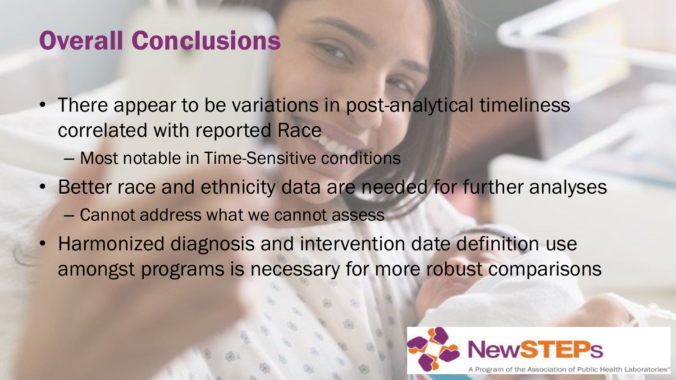#### Overall Conclusions

- There appear to be variations in post-analytical timeliness correlated with reported Race
	- Most notable in Time-Sensitive conditions
- Better race and ethnicity data are needed for further analyses – Cannot address what we cannot assess
- Harmonized diagnosis and intervention date definition use amongst programs is necessary for more robust comparisons